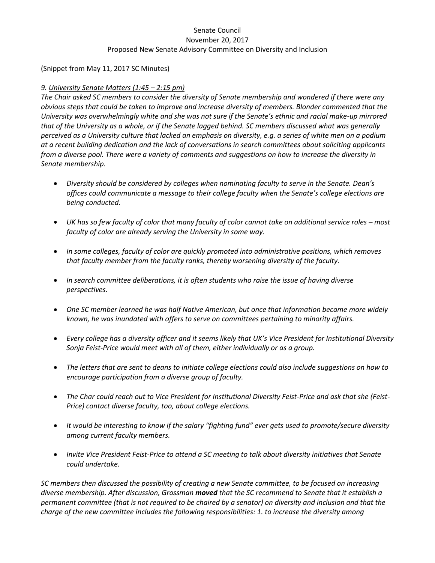## Senate Council November 20, 2017 Proposed New Senate Advisory Committee on Diversity and Inclusion

(Snippet from May 11, 2017 SC Minutes)

## *9. University Senate Matters (1:45 – 2:15 pm)*

*The Chair asked SC members to consider the diversity of Senate membership and wondered if there were any obvious steps that could be taken to improve and increase diversity of members. Blonder commented that the University was overwhelmingly white and she was not sure if the Senate's ethnic and racial make-up mirrored that of the University as a whole, or if the Senate lagged behind. SC members discussed what was generally perceived as a University culture that lacked an emphasis on diversity, e.g. a series of white men on a podium at a recent building dedication and the lack of conversations in search committees about soliciting applicants from a diverse pool. There were a variety of comments and suggestions on how to increase the diversity in Senate membership.*

- *Diversity should be considered by colleges when nominating faculty to serve in the Senate. Dean's offices could communicate a message to their college faculty when the Senate's college elections are being conducted.*
- UK has so few faculty of color that many faculty of color cannot take on additional service roles most *faculty of color are already serving the University in some way.*
- *In some colleges, faculty of color are quickly promoted into administrative positions, which removes that faculty member from the faculty ranks, thereby worsening diversity of the faculty.*
- *In search committee deliberations, it is often students who raise the issue of having diverse perspectives.*
- *One SC member learned he was half Native American, but once that information became more widely known, he was inundated with offers to serve on committees pertaining to minority affairs.*
- *Every college has a diversity officer and it seems likely that UK's Vice President for Institutional Diversity Sonja Feist-Price would meet with all of them, either individually or as a group.*
- *The letters that are sent to deans to initiate college elections could also include suggestions on how to encourage participation from a diverse group of faculty.*
- *The Char could reach out to Vice President for Institutional Diversity Feist-Price and ask that she (Feist-Price) contact diverse faculty, too, about college elections.*
- *It would be interesting to know if the salary "fighting fund" ever gets used to promote/secure diversity among current faculty members.*
- *Invite Vice President Feist-Price to attend a SC meeting to talk about diversity initiatives that Senate could undertake.*

*SC members then discussed the possibility of creating a new Senate committee, to be focused on increasing diverse membership. After discussion, Grossman moved that the SC recommend to Senate that it establish a permanent committee (that is not required to be chaired by a senator) on diversity and inclusion and that the charge of the new committee includes the following responsibilities: 1. to increase the diversity among*